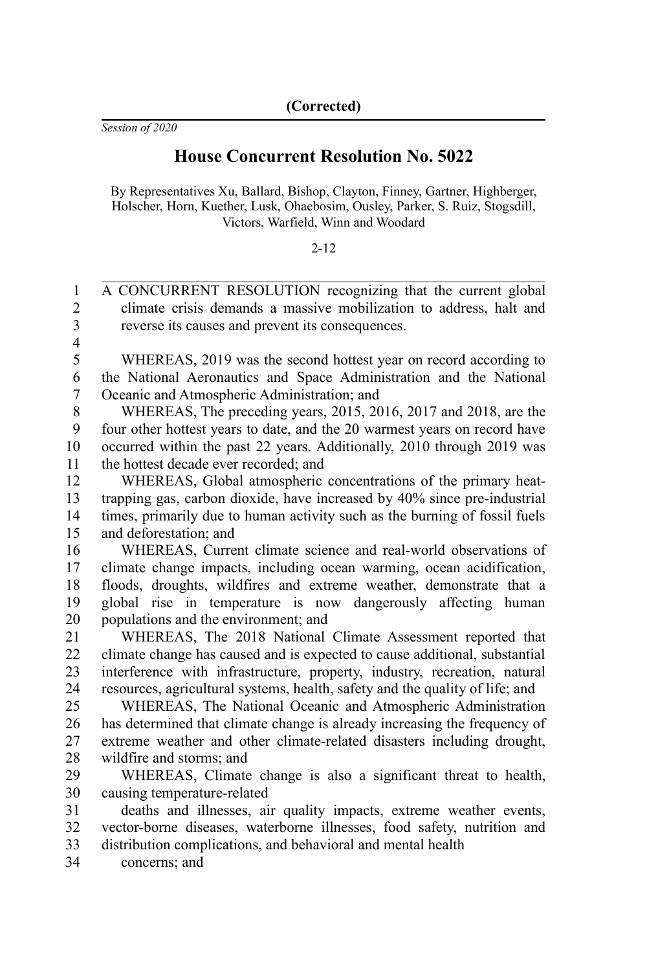*Session of 2020*

## **House Concurrent Resolution No. 5022**

By Representatives Xu, Ballard, Bishop, Clayton, Finney, Gartner, Highberger, Holscher, Horn, Kuether, Lusk, Ohaebosim, Ousley, Parker, S. Ruiz, Stogsdill, Victors, Warfield, Winn and Woodard

## $2 - 12$

A CONCURRENT RESOLUTION recognizing that the current global climate crisis demands a massive mobilization to address, halt and reverse its causes and prevent its consequences. 1  $\mathfrak{D}$ 3

4

WHEREAS, 2019 was the second hottest year on record according to the National Aeronautics and Space Administration and the National Oceanic and Atmospheric Administration; and 5 6 7

WHEREAS, The preceding years, 2015, 2016, 2017 and 2018, are the four other hottest years to date, and the 20 warmest years on record have occurred within the past 22 years. Additionally, 2010 through 2019 was the hottest decade ever recorded; and 8 9 10 11

WHEREAS, Global atmospheric concentrations of the primary heattrapping gas, carbon dioxide, have increased by 40% since pre-industrial times, primarily due to human activity such as the burning of fossil fuels and deforestation; and 12 13 14 15

WHEREAS, Current climate science and real-world observations of climate change impacts, including ocean warming, ocean acidification, floods, droughts, wildfires and extreme weather, demonstrate that a global rise in temperature is now dangerously affecting human populations and the environment; and 16 17 18 19 20

WHEREAS, The 2018 National Climate Assessment reported that climate change has caused and is expected to cause additional, substantial interference with infrastructure, property, industry, recreation, natural resources, agricultural systems, health, safety and the quality of life; and 21 22 23 24

WHEREAS, The National Oceanic and Atmospheric Administration has determined that climate change is already increasing the frequency of extreme weather and other climate-related disasters including drought, wildfire and storms; and 25 26 27 28

WHEREAS, Climate change is also a significant threat to health, causing temperature-related 29 30

deaths and illnesses, air quality impacts, extreme weather events, vector-borne diseases, waterborne illnesses, food safety, nutrition and distribution complications, and behavioral and mental health 31 32 33

concerns; and 34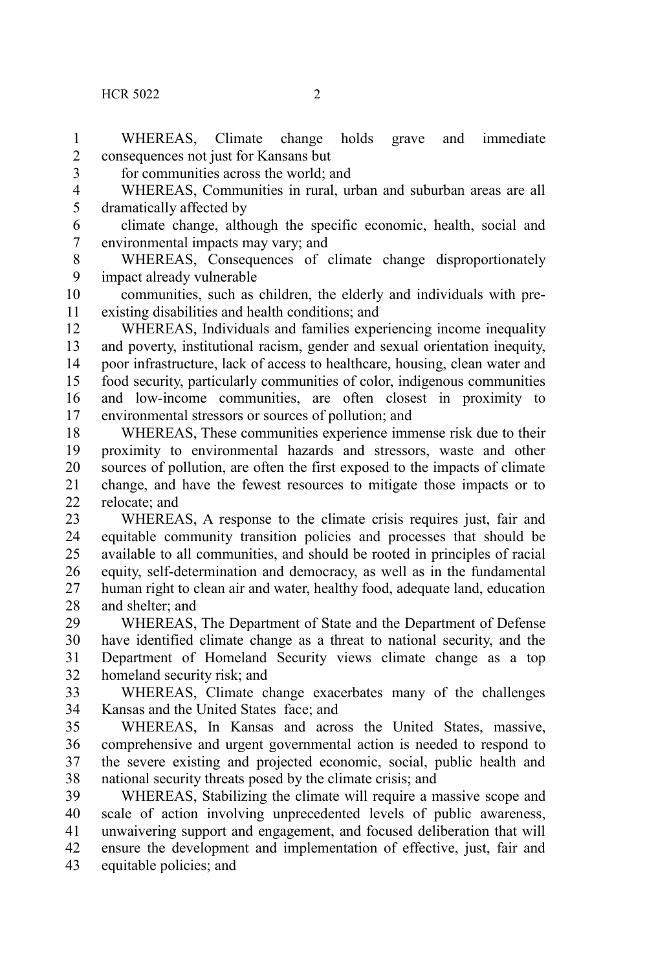WHEREAS, Climate change holds grave and immediate consequences not just for Kansans but for communities across the world; and WHEREAS, Communities in rural, urban and suburban areas are all dramatically affected by climate change, although the specific economic, health, social and environmental impacts may vary; and WHEREAS, Consequences of climate change disproportionately impact already vulnerable communities, such as children, the elderly and individuals with preexisting disabilities and health conditions; and WHEREAS, Individuals and families experiencing income inequality and poverty, institutional racism, gender and sexual orientation inequity, poor infrastructure, lack of access to healthcare, housing, clean water and food security, particularly communities of color, indigenous communities and low-income communities, are often closest in proximity to environmental stressors or sources of pollution; and WHEREAS, These communities experience immense risk due to their proximity to environmental hazards and stressors, waste and other sources of pollution, are often the first exposed to the impacts of climate change, and have the fewest resources to mitigate those impacts or to relocate; and WHEREAS, A response to the climate crisis requires just, fair and equitable community transition policies and processes that should be available to all communities, and should be rooted in principles of racial equity, self-determination and democracy, as well as in the fundamental human right to clean air and water, healthy food, adequate land, education and shelter; and WHEREAS, The Department of State and the Department of Defense have identified climate change as a threat to national security, and the Department of Homeland Security views climate change as a top homeland security risk; and WHEREAS, Climate change exacerbates many of the challenges Kansas and the United States face; and WHEREAS, In Kansas and across the United States, massive, comprehensive and urgent governmental action is needed to respond to the severe existing and projected economic, social, public health and national security threats posed by the climate crisis; and WHEREAS, Stabilizing the climate will require a massive scope and scale of action involving unprecedented levels of public awareness, unwaivering support and engagement, and focused deliberation that will 1 2 3 4 5 6 7 8  $\mathbf{Q}$ 10 11 12 13 14 15 16 17 18 19 20 21 22 23 24 25 26 27 28 29 30 31 32 33 34 35 36 37 38 39 40 41

ensure the development and implementation of effective, just, fair and equitable policies; and 42 43